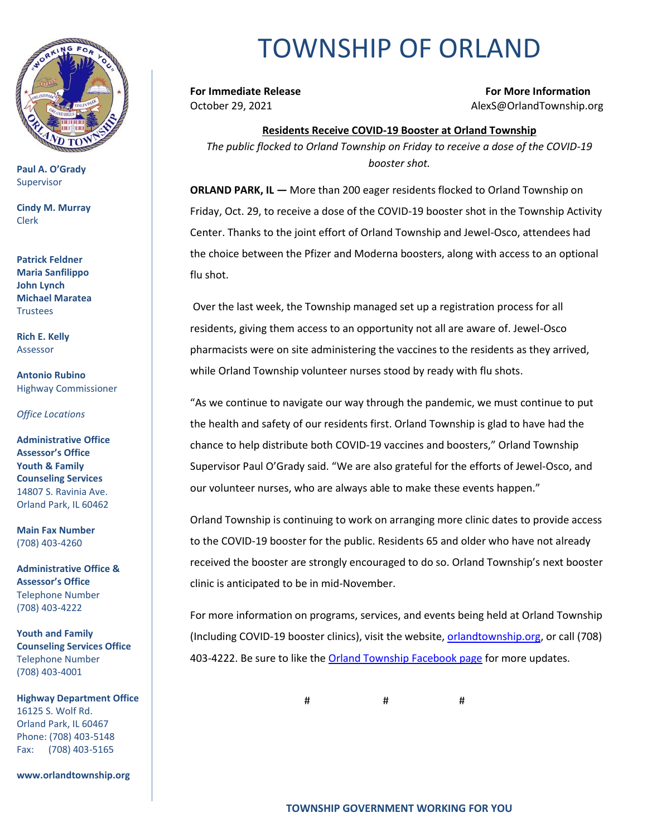

**Paul A. O'Grady** Supervisor

**Cindy M. Murray** Clerk

**Patrick Feldner Maria Sanfilippo John Lynch Michael Maratea Trustees** 

**Rich E. Kelly** Assessor

**Antonio Rubino** Highway Commissioner

*Office Locations*

**Administrative Office Assessor's Office Youth & Family Counseling Services** 14807 S. Ravinia Ave. Orland Park, IL 60462

**Main Fax Number**  (708) 403-4260

**Administrative Office & Assessor's Office**  Telephone Number (708) 403-4222

**Youth and Family Counseling Services Office**  Telephone Number (708) 403-4001

**Highway Department Office** 16125 S. Wolf Rd. Orland Park, IL 60467 Phone: (708) 403-5148 Fax: (708) 403-5165

**www.orlandtownship.org**

## TOWNSHIP OF ORLAND

**For Immediate Release For More Information** October 29, 2021 AlexS@OrlandTownship.org

**Residents Receive COVID-19 Booster at Orland Township** *The public flocked to Orland Township on Friday to receive a dose of the COVID-19 booster shot.*

**ORLAND PARK, IL —** More than 200 eager residents flocked to Orland Township on Friday, Oct. 29, to receive a dose of the COVID-19 booster shot in the Township Activity Center. Thanks to the joint effort of Orland Township and Jewel-Osco, attendees had the choice between the Pfizer and Moderna boosters, along with access to an optional flu shot.

Over the last week, the Township managed set up a registration process for all residents, giving them access to an opportunity not all are aware of. Jewel-Osco pharmacists were on site administering the vaccines to the residents as they arrived, while Orland Township volunteer nurses stood by ready with flu shots.

"As we continue to navigate our way through the pandemic, we must continue to put the health and safety of our residents first. Orland Township is glad to have had the chance to help distribute both COVID-19 vaccines and boosters," Orland Township Supervisor Paul O'Grady said. "We are also grateful for the efforts of Jewel-Osco, and our volunteer nurses, who are always able to make these events happen."

Orland Township is continuing to work on arranging more clinic dates to provide access to the COVID-19 booster for the public. Residents 65 and older who have not already received the booster are strongly encouraged to do so. Orland Township's next booster clinic is anticipated to be in mid-November.

For more information on programs, services, and events being held at Orland Township (Including COVID-19 booster clinics), visit the website[, orlandtownship.org,](http://www.orlandtownship.org/) or call (708) 403-4222. Be sure to like the [Orland Township Facebook page](https://www.facebook.com/OrlandTownshipIL/) for more updates.

# # #